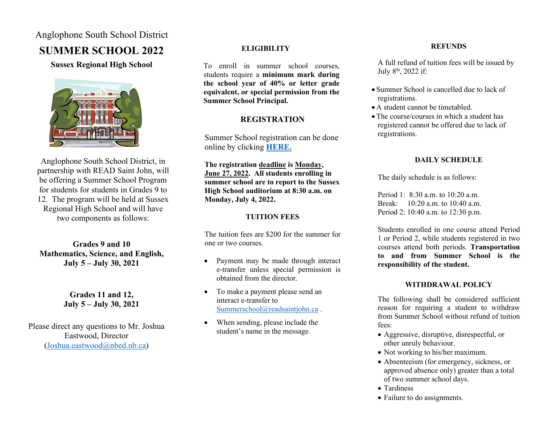### Anglophone South School District

# **SUMMER SCHOOL 2022**

#### **Sussex Regional High School**



Anglophone South School District, in partnership with READ Saint John, will be offering a Summer School Program for students for students in Grades 9 to 12. The program will be held at Sussex Regional High School and will have two components as follows:

**Grades 9 and 10 Mathematics, Science, and English, July 5 – July 30, 2021**

> **Grades 11 and 12, July 5 – July 30, 2021**

Please direct any questions to Mr. Joshua Eastwood, Director [\(Joshua.eastwood@nbed.nb.ca\)](mailto:Joshua.eastwood@nbed.nb.ca)

#### **ELIGIBILITY**

To enroll in summer school courses, students require a **minimum mark during the school year of 40% or letter grade equivalent, or special permission from the Summer School Principal.** 

#### **REGISTRATION**

Summer School registration can be done online by clicking **[HERE.](https://forms.office.com/r/Cq4ddQSwD2)**

**The registration deadline is Monday, June 27, 2022. All students enrolling in summer school are to report to the Sussex High School auditorium at 8:30 a.m. on Monday, July 4, 2022.**

#### **TUITION FEES**

The tuition fees are \$200 for the summer for one or two courses.

- Payment may be made through interact e-transfer unless special permission is obtained from the director.
- To make a payment please send an interact e-transfer to [Summerschool@readsaintjohn.ca](mailto:Summerschool@readsaintjohn.ca) .
- When sending, please include the student's name in the message.

#### **REFUNDS**

A full refund of tuition fees will be issued by July 8<sup>th</sup>, 2022 if:

- Summer School is cancelled due to lack of registrations.
- A student cannot be timetabled.
- The course/courses in which a student has registered cannot be offered due to lack of registrations.

#### **DAILY SCHEDULE**

The daily schedule is as follows:

Period 1: 8:30 a.m. to 10:20 a.m. Break: 10:20 a.m. to 10:40 a.m. Period 2: 10:40 a.m. to 12:30 p.m.

Students enrolled in one course attend Period 1 or Period 2, while students registered in two courses attend both periods. **Transportation to and from Summer School is the responsibility of the student.**

#### **WITHDRAWAL POLICY**

The following shall be considered sufficient reason for requiring a student to withdraw from Summer School without refund of tuition fees:

- Aggressive, disruptive, disrespectful, or other unruly behaviour.
- Not working to his/her maximum.
- Absenteeism (for emergency, sickness, or approved absence only) greater than a total of two summer school days.
- Tardiness
- Failure to do assignments.